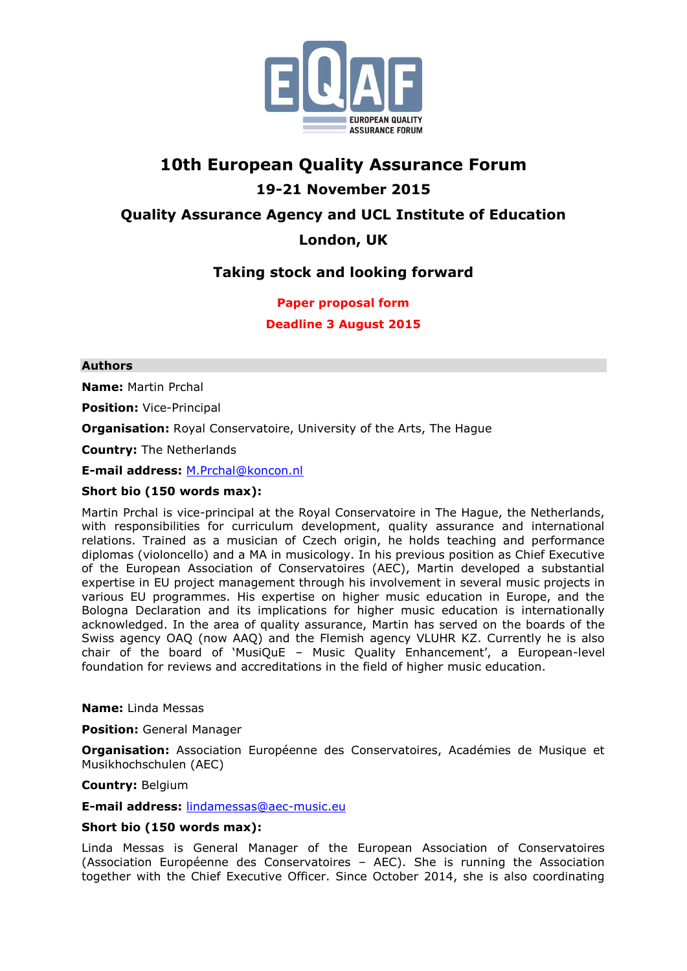

# **10th European Quality Assurance Forum 19-21 November 2015 Quality Assurance Agency and UCL Institute of Education**

### **London, UK**

# **Taking stock and looking forward**

### **Paper proposal form**

**Deadline 3 August 2015**

### **Authors**

**Name:** Martin Prchal

**Position:** Vice-Principal

**Organisation:** Royal Conservatoire, University of the Arts, The Hague

**Country:** The Netherlands

**E-mail address:** [M.Prchal@koncon.nl](mailto:M.Prchal@koncon.nl)

### **Short bio (150 words max):**

Martin Prchal is vice-principal at the Royal Conservatoire in The Hague, the Netherlands, with responsibilities for curriculum development, quality assurance and international relations. Trained as a musician of Czech origin, he holds teaching and performance diplomas (violoncello) and a MA in musicology. In his previous position as Chief Executive of the European Association of Conservatoires (AEC), Martin developed a substantial expertise in EU project management through his involvement in several music projects in various EU programmes. His expertise on higher music education in Europe, and the Bologna Declaration and its implications for higher music education is internationally acknowledged. In the area of quality assurance, Martin has served on the boards of the Swiss agency OAQ (now AAQ) and the Flemish agency VLUHR KZ. Currently he is also chair of the board of 'MusiQuE – Music Quality Enhancement', a European-level foundation for reviews and accreditations in the field of higher music education.

#### **Name:** Linda Messas

**Position:** General Manager

**Organisation:** Association Européenne des Conservatoires, Académies de Musique et Musikhochschulen (AEC)

**Country:** Belgium

**E-mail address:** [lindamessas@aec-music.eu](mailto:lindamessas@aec-music.eu)

#### **Short bio (150 words max):**

Linda Messas is General Manager of the European Association of Conservatoires (Association Européenne des Conservatoires – AEC). She is running the Association together with the Chief Executive Officer. Since October 2014, she is also coordinating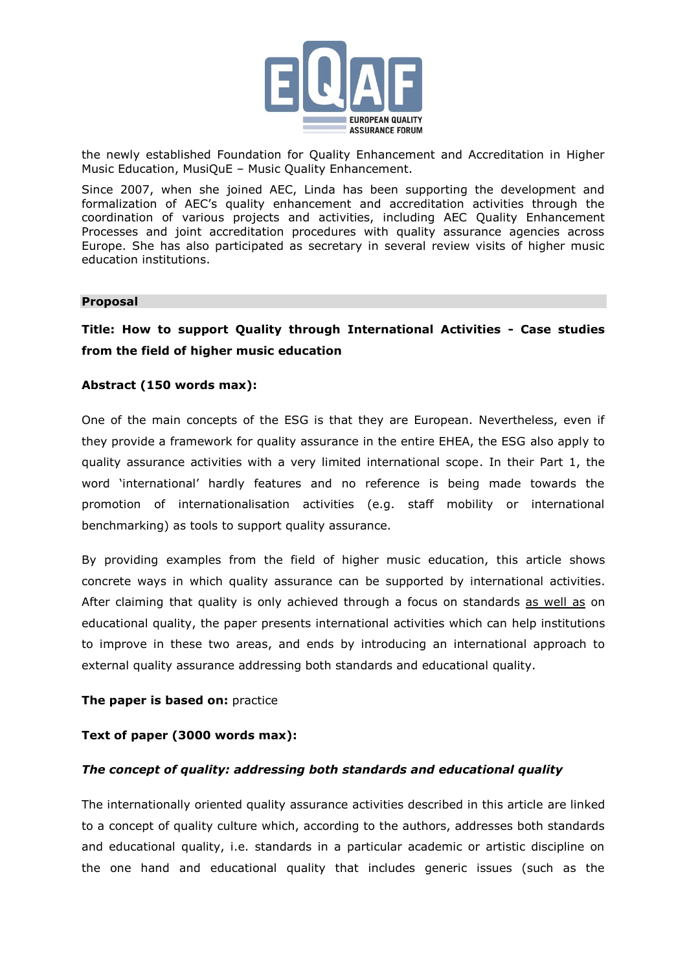

the newly established Foundation for Quality Enhancement and Accreditation in Higher Music Education, MusiQuE – Music Quality Enhancement.

Since 2007, when she joined AEC, Linda has been supporting the development and formalization of AEC's quality enhancement and accreditation activities through the coordination of various projects and activities, including AEC Quality Enhancement Processes and joint accreditation procedures with quality assurance agencies across Europe. She has also participated as secretary in several review visits of higher music education institutions.

#### **Proposal**

### **Title: How to support Quality through International Activities - Case studies from the field of higher music education**

#### **Abstract (150 words max):**

One of the main concepts of the ESG is that they are European. Nevertheless, even if they provide a framework for quality assurance in the entire EHEA, the ESG also apply to quality assurance activities with a very limited international scope. In their Part 1, the word 'international' hardly features and no reference is being made towards the promotion of internationalisation activities (e.g. staff mobility or international benchmarking) as tools to support quality assurance.

By providing examples from the field of higher music education, this article shows concrete ways in which quality assurance can be supported by international activities. After claiming that quality is only achieved through a focus on standards as well as on educational quality, the paper presents international activities which can help institutions to improve in these two areas, and ends by introducing an international approach to external quality assurance addressing both standards and educational quality.

#### **The paper is based on:** practice

#### **Text of paper (3000 words max):**

#### *The concept of quality: addressing both standards and educational quality*

The internationally oriented quality assurance activities described in this article are linked to a concept of quality culture which, according to the authors, addresses both standards and educational quality, i.e. standards in a particular academic or artistic discipline on the one hand and educational quality that includes generic issues (such as the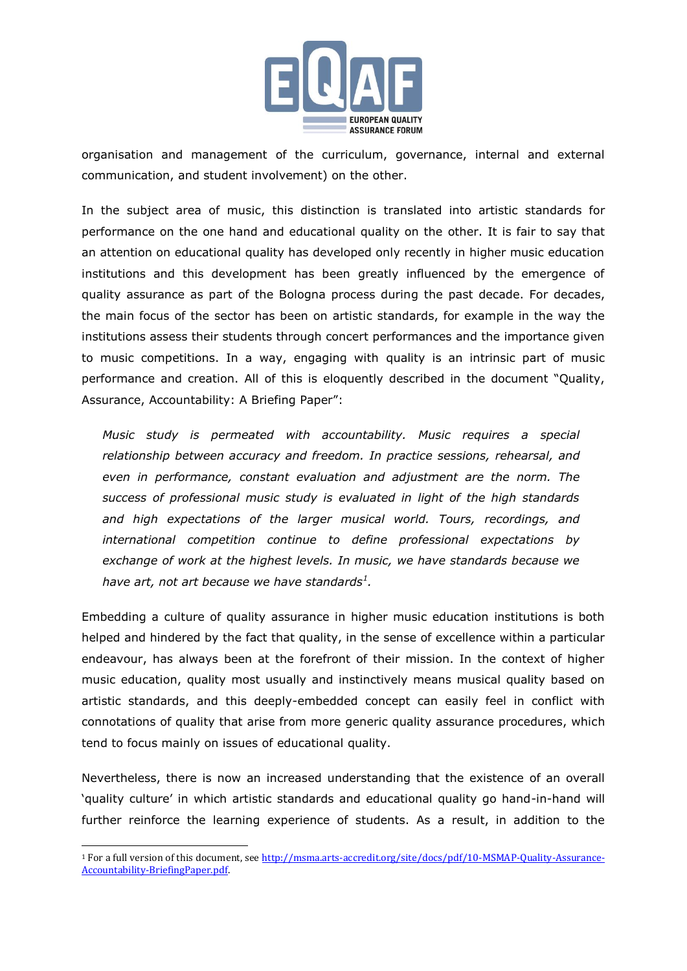

organisation and management of the curriculum, governance, internal and external communication, and student involvement) on the other.

In the subject area of music, this distinction is translated into artistic standards for performance on the one hand and educational quality on the other. It is fair to say that an attention on educational quality has developed only recently in higher music education institutions and this development has been greatly influenced by the emergence of quality assurance as part of the Bologna process during the past decade. For decades, the main focus of the sector has been on artistic standards, for example in the way the institutions assess their students through concert performances and the importance given to music competitions. In a way, engaging with quality is an intrinsic part of music performance and creation. All of this is eloquently described in the document "Quality, Assurance, Accountability: A Briefing Paper":

*Music study is permeated with accountability. Music requires a special relationship between accuracy and freedom. In practice sessions, rehearsal, and even in performance, constant evaluation and adjustment are the norm. The success of professional music study is evaluated in light of the high standards and high expectations of the larger musical world. Tours, recordings, and international competition continue to define professional expectations by exchange of work at the highest levels. In music, we have standards because we have art, not art because we have standards<sup>1</sup> .*

Embedding a culture of quality assurance in higher music education institutions is both helped and hindered by the fact that quality, in the sense of excellence within a particular endeavour, has always been at the forefront of their mission. In the context of higher music education, quality most usually and instinctively means musical quality based on artistic standards, and this deeply-embedded concept can easily feel in conflict with connotations of quality that arise from more generic quality assurance procedures, which tend to focus mainly on issues of educational quality.

Nevertheless, there is now an increased understanding that the existence of an overall 'quality culture' in which artistic standards and educational quality go hand-in-hand will further reinforce the learning experience of students. As a result, in addition to the

<sup>1</sup> For a full version of this document, see [http://msma.arts-accredit.org/site/docs/pdf/10-MSMAP-Quality-Assurance-](http://msma.arts-accredit.org/site/docs/pdf/10-MSMAP-Quality-Assurance-Accountability-BriefingPaper.pdf)[Accountability-BriefingPaper.pdf.](http://msma.arts-accredit.org/site/docs/pdf/10-MSMAP-Quality-Assurance-Accountability-BriefingPaper.pdf)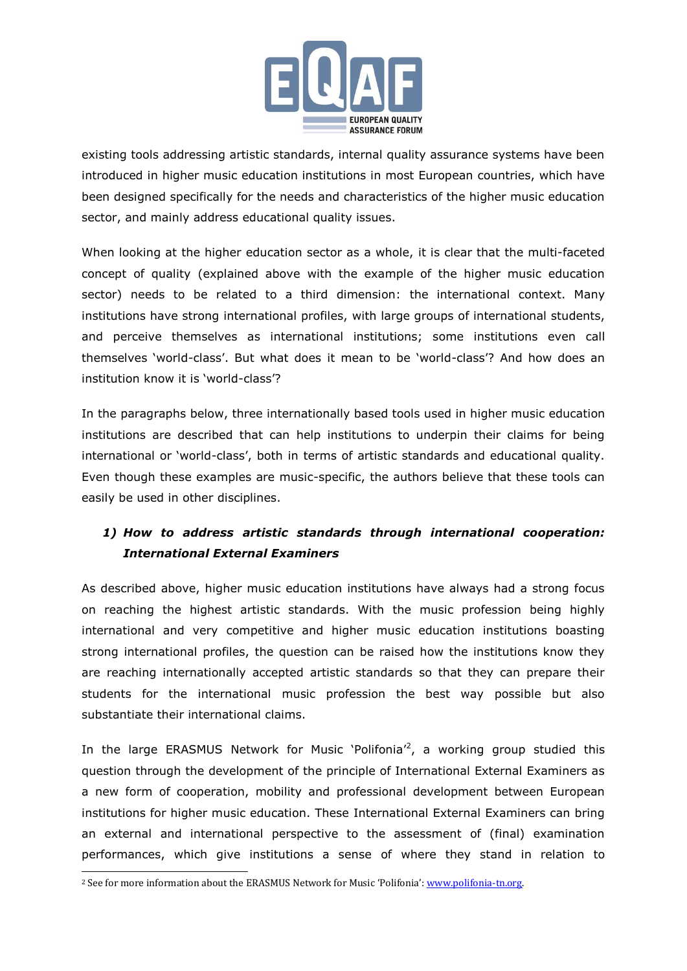

existing tools addressing artistic standards, internal quality assurance systems have been introduced in higher music education institutions in most European countries, which have been designed specifically for the needs and characteristics of the higher music education sector, and mainly address educational quality issues.

When looking at the higher education sector as a whole, it is clear that the multi-faceted concept of quality (explained above with the example of the higher music education sector) needs to be related to a third dimension: the international context. Many institutions have strong international profiles, with large groups of international students, and perceive themselves as international institutions; some institutions even call themselves 'world-class'. But what does it mean to be 'world-class'? And how does an institution know it is 'world-class'?

In the paragraphs below, three internationally based tools used in higher music education institutions are described that can help institutions to underpin their claims for being international or 'world-class', both in terms of artistic standards and educational quality. Even though these examples are music-specific, the authors believe that these tools can easily be used in other disciplines.

# *1) How to address artistic standards through international cooperation: International External Examiners*

As described above, higher music education institutions have always had a strong focus on reaching the highest artistic standards. With the music profession being highly international and very competitive and higher music education institutions boasting strong international profiles, the question can be raised how the institutions know they are reaching internationally accepted artistic standards so that they can prepare their students for the international music profession the best way possible but also substantiate their international claims.

In the large ERASMUS Network for Music 'Polifonia'<sup>2</sup>, a working group studied this question through the development of the principle of International External Examiners as a new form of cooperation, mobility and professional development between European institutions for higher music education. These International External Examiners can bring an external and international perspective to the assessment of (final) examination performances, which give institutions a sense of where they stand in relation to

<sup>&</sup>lt;sup>2</sup> See for more information about the ERASMUS Network for Music 'Polifonia': www.polifonia-tn.org.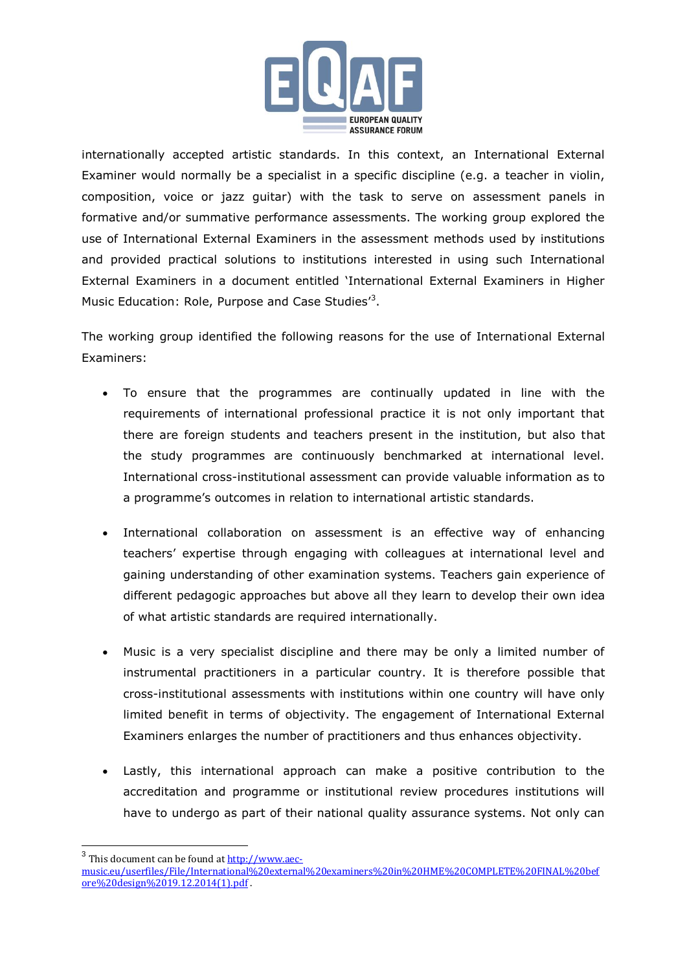

internationally accepted artistic standards. In this context, an International External Examiner would normally be a specialist in a specific discipline (e.g. a teacher in violin, composition, voice or jazz guitar) with the task to serve on assessment panels in formative and/or summative performance assessments. The working group explored the use of International External Examiners in the assessment methods used by institutions and provided practical solutions to institutions interested in using such International External Examiners in a document entitled 'International External Examiners in Higher Music Education: Role, Purpose and Case Studies<sup>13</sup>.

The working group identified the following reasons for the use of International External Examiners:

- To ensure that the programmes are continually updated in line with the requirements of international professional practice it is not only important that there are foreign students and teachers present in the institution, but also that the study programmes are continuously benchmarked at international level. International cross-institutional assessment can provide valuable information as to a programme's outcomes in relation to international artistic standards.
- International collaboration on assessment is an effective way of enhancing teachers' expertise through engaging with colleagues at international level and gaining understanding of other examination systems. Teachers gain experience of different pedagogic approaches but above all they learn to develop their own idea of what artistic standards are required internationally.
- Music is a very specialist discipline and there may be only a limited number of instrumental practitioners in a particular country. It is therefore possible that cross-institutional assessments with institutions within one country will have only limited benefit in terms of objectivity. The engagement of International External Examiners enlarges the number of practitioners and thus enhances objectivity.
- Lastly, this international approach can make a positive contribution to the accreditation and programme or institutional review procedures institutions will have to undergo as part of their national quality assurance systems. Not only can

<sup>&</sup>lt;sup>3</sup> This document can be found at **[http://www.aec-](http://www.aec-music.eu/userfiles/File/International%20external%20examiners%20in%20HME%20COMPLETE%20FINAL%20before%20design%2019.12.2014(1).pdf)**

[music.eu/userfiles/File/International%20external%20examiners%20in%20HME%20COMPLETE%20FINAL%20bef](http://www.aec-music.eu/userfiles/File/International%20external%20examiners%20in%20HME%20COMPLETE%20FINAL%20before%20design%2019.12.2014(1).pdf) [ore%20design%2019.12.2014\(1\).pdf](http://www.aec-music.eu/userfiles/File/International%20external%20examiners%20in%20HME%20COMPLETE%20FINAL%20before%20design%2019.12.2014(1).pdf) .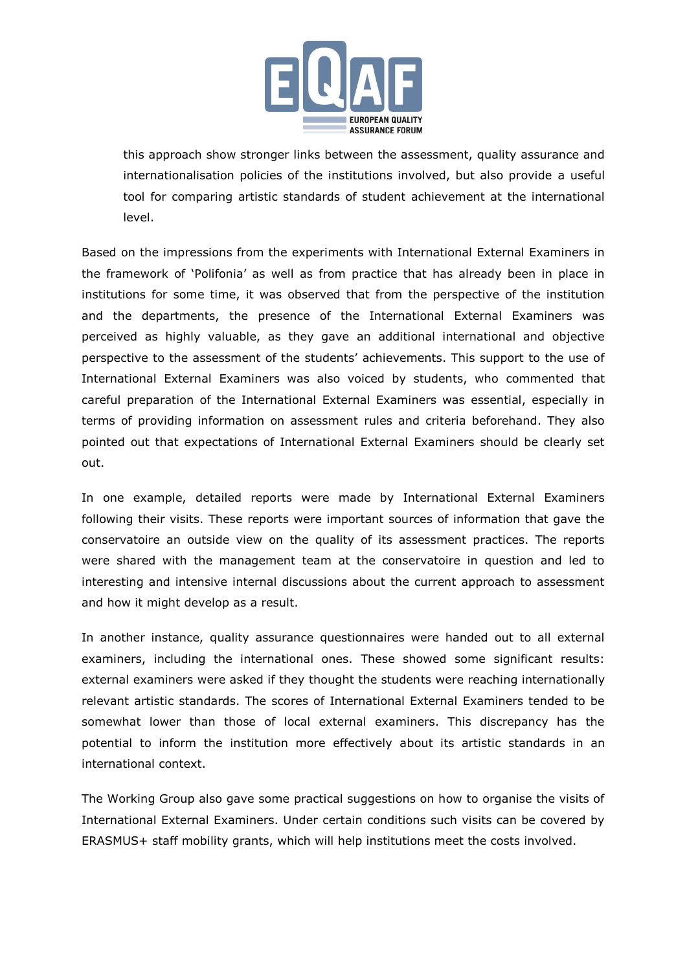

this approach show stronger links between the assessment, quality assurance and internationalisation policies of the institutions involved, but also provide a useful tool for comparing artistic standards of student achievement at the international level.

Based on the impressions from the experiments with International External Examiners in the framework of 'Polifonia' as well as from practice that has already been in place in institutions for some time, it was observed that from the perspective of the institution and the departments, the presence of the International External Examiners was perceived as highly valuable, as they gave an additional international and objective perspective to the assessment of the students' achievements. This support to the use of International External Examiners was also voiced by students, who commented that careful preparation of the International External Examiners was essential, especially in terms of providing information on assessment rules and criteria beforehand. They also pointed out that expectations of International External Examiners should be clearly set out.

In one example, detailed reports were made by International External Examiners following their visits. These reports were important sources of information that gave the conservatoire an outside view on the quality of its assessment practices. The reports were shared with the management team at the conservatoire in question and led to interesting and intensive internal discussions about the current approach to assessment and how it might develop as a result.

In another instance, quality assurance questionnaires were handed out to all external examiners, including the international ones. These showed some significant results: external examiners were asked if they thought the students were reaching internationally relevant artistic standards. The scores of International External Examiners tended to be somewhat lower than those of local external examiners. This discrepancy has the potential to inform the institution more effectively about its artistic standards in an international context.

The Working Group also gave some practical suggestions on how to organise the visits of International External Examiners. Under certain conditions such visits can be covered by ERASMUS+ staff mobility grants, which will help institutions meet the costs involved.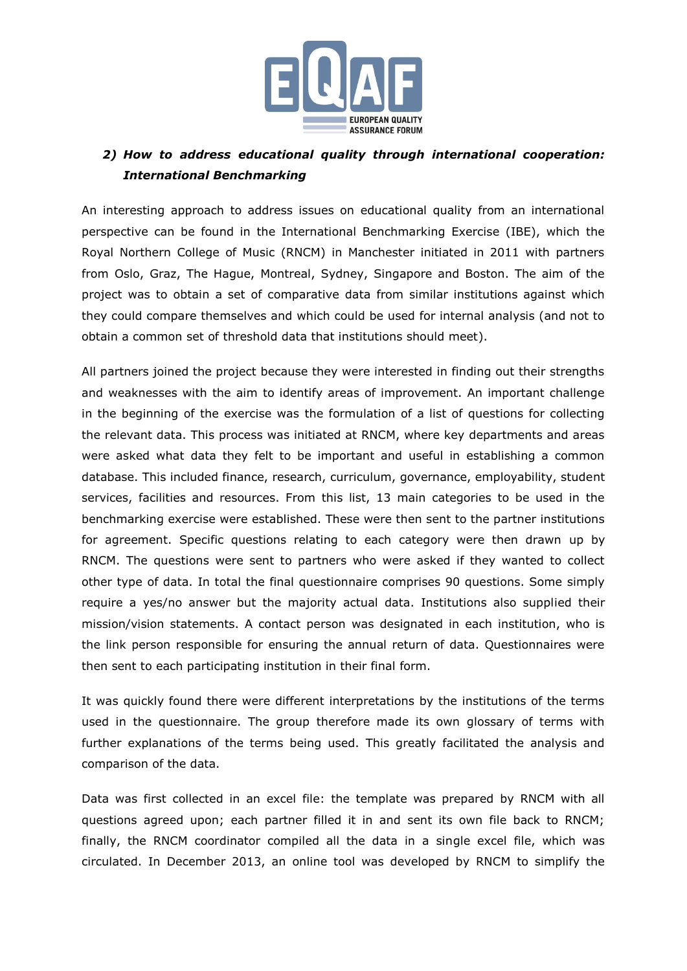

### *2) How to address educational quality through international cooperation: International Benchmarking*

An interesting approach to address issues on educational quality from an international perspective can be found in the International Benchmarking Exercise (IBE), which the Royal Northern College of Music (RNCM) in Manchester initiated in 2011 with partners from Oslo, Graz, The Hague, Montreal, Sydney, Singapore and Boston. The aim of the project was to obtain a set of comparative data from similar institutions against which they could compare themselves and which could be used for internal analysis (and not to obtain a common set of threshold data that institutions should meet).

All partners joined the project because they were interested in finding out their strengths and weaknesses with the aim to identify areas of improvement. An important challenge in the beginning of the exercise was the formulation of a list of questions for collecting the relevant data. This process was initiated at RNCM, where key departments and areas were asked what data they felt to be important and useful in establishing a common database. This included finance, research, curriculum, governance, employability, student services, facilities and resources. From this list, 13 main categories to be used in the benchmarking exercise were established. These were then sent to the partner institutions for agreement. Specific questions relating to each category were then drawn up by RNCM. The questions were sent to partners who were asked if they wanted to collect other type of data. In total the final questionnaire comprises 90 questions. Some simply require a yes/no answer but the majority actual data. Institutions also supplied their mission/vision statements. A contact person was designated in each institution, who is the link person responsible for ensuring the annual return of data. Questionnaires were then sent to each participating institution in their final form.

It was quickly found there were different interpretations by the institutions of the terms used in the questionnaire. The group therefore made its own glossary of terms with further explanations of the terms being used. This greatly facilitated the analysis and comparison of the data.

Data was first collected in an excel file: the template was prepared by RNCM with all questions agreed upon; each partner filled it in and sent its own file back to RNCM; finally, the RNCM coordinator compiled all the data in a single excel file, which was circulated. In December 2013, an online tool was developed by RNCM to simplify the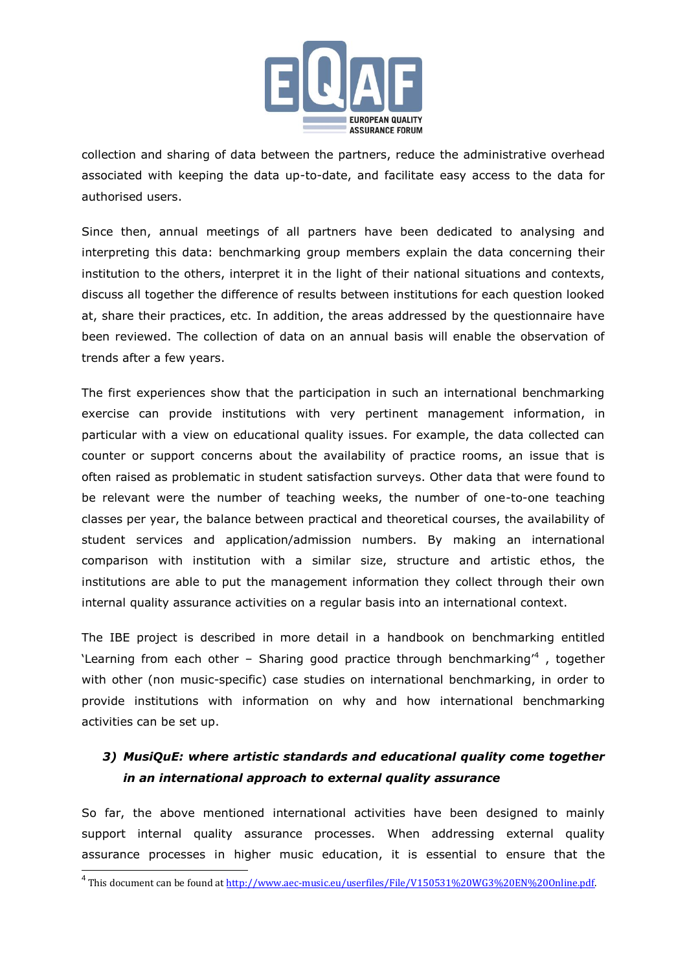

collection and sharing of data between the partners, reduce the administrative overhead associated with keeping the data up-to-date, and facilitate easy access to the data for authorised users.

Since then, annual meetings of all partners have been dedicated to analysing and interpreting this data: benchmarking group members explain the data concerning their institution to the others, interpret it in the light of their national situations and contexts, discuss all together the difference of results between institutions for each question looked at, share their practices, etc. In addition, the areas addressed by the questionnaire have been reviewed. The collection of data on an annual basis will enable the observation of trends after a few years.

The first experiences show that the participation in such an international benchmarking exercise can provide institutions with very pertinent management information, in particular with a view on educational quality issues. For example, the data collected can counter or support concerns about the availability of practice rooms, an issue that is often raised as problematic in student satisfaction surveys. Other data that were found to be relevant were the number of teaching weeks, the number of one-to-one teaching classes per year, the balance between practical and theoretical courses, the availability of student services and application/admission numbers. By making an international comparison with institution with a similar size, structure and artistic ethos, the institutions are able to put the management information they collect through their own internal quality assurance activities on a regular basis into an international context.

The IBE project is described in more detail in a handbook on benchmarking entitled 'Learning from each other - Sharing good practice through benchmarking<sup>,4</sup>, together with other (non music-specific) case studies on international benchmarking, in order to provide institutions with information on why and how international benchmarking activities can be set up.

# *3) MusiQuE: where artistic standards and educational quality come together in an international approach to external quality assurance*

So far, the above mentioned international activities have been designed to mainly support internal quality assurance processes. When addressing external quality assurance processes in higher music education, it is essential to ensure that the

 4 This document can be found at [http://www.aec-music.eu/userfiles/File/V150531%20WG3%20EN%20Online.pdf.](http://www.aec-music.eu/userfiles/File/V150531%20WG3%20EN%20Online.pdf)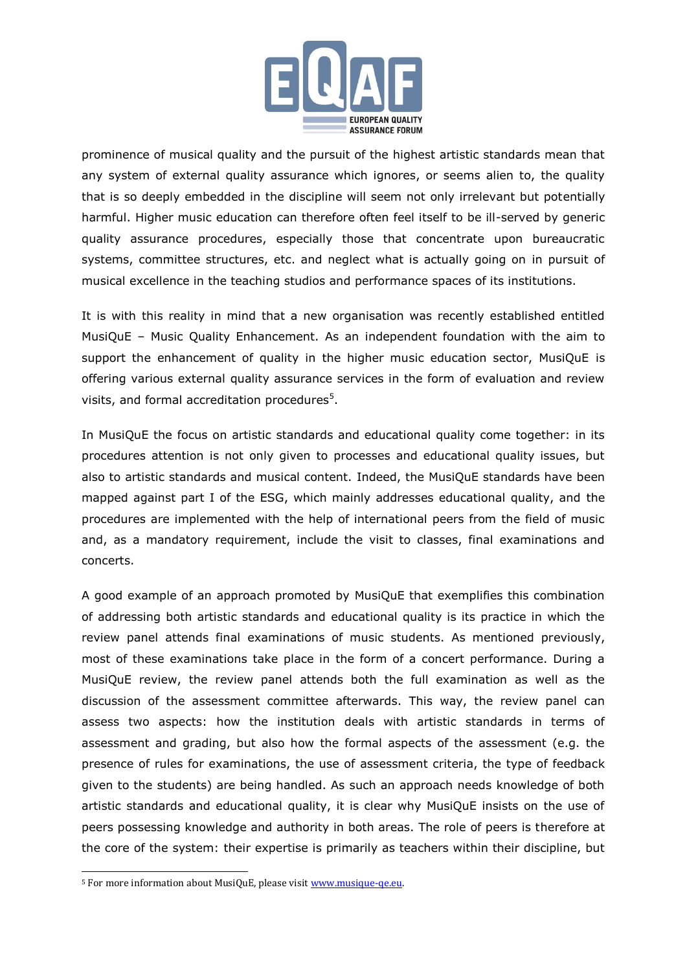

prominence of musical quality and the pursuit of the highest artistic standards mean that any system of external quality assurance which ignores, or seems alien to, the quality that is so deeply embedded in the discipline will seem not only irrelevant but potentially harmful. Higher music education can therefore often feel itself to be ill-served by generic quality assurance procedures, especially those that concentrate upon bureaucratic systems, committee structures, etc. and neglect what is actually going on in pursuit of musical excellence in the teaching studios and performance spaces of its institutions.

It is with this reality in mind that a new organisation was recently established entitled MusiQuE – Music Quality Enhancement. As an independent foundation with the aim to support the enhancement of quality in the higher music education sector, MusiQuE is offering various external quality assurance services in the form of evaluation and review visits, and formal accreditation procedures<sup>5</sup>.

In MusiQuE the focus on artistic standards and educational quality come together: in its procedures attention is not only given to processes and educational quality issues, but also to artistic standards and musical content. Indeed, the MusiQuE standards have been mapped against part I of the ESG, which mainly addresses educational quality, and the procedures are implemented with the help of international peers from the field of music and, as a mandatory requirement, include the visit to classes, final examinations and concerts.

A good example of an approach promoted by MusiQuE that exemplifies this combination of addressing both artistic standards and educational quality is its practice in which the review panel attends final examinations of music students. As mentioned previously, most of these examinations take place in the form of a concert performance. During a MusiQuE review, the review panel attends both the full examination as well as the discussion of the assessment committee afterwards. This way, the review panel can assess two aspects: how the institution deals with artistic standards in terms of assessment and grading, but also how the formal aspects of the assessment (e.g. the presence of rules for examinations, the use of assessment criteria, the type of feedback given to the students) are being handled. As such an approach needs knowledge of both artistic standards and educational quality, it is clear why MusiQuE insists on the use of peers possessing knowledge and authority in both areas. The role of peers is therefore at the core of the system: their expertise is primarily as teachers within their discipline, but

<sup>&</sup>lt;sup>5</sup> For more information about MusiQuE, please visit www.musique-qe.eu.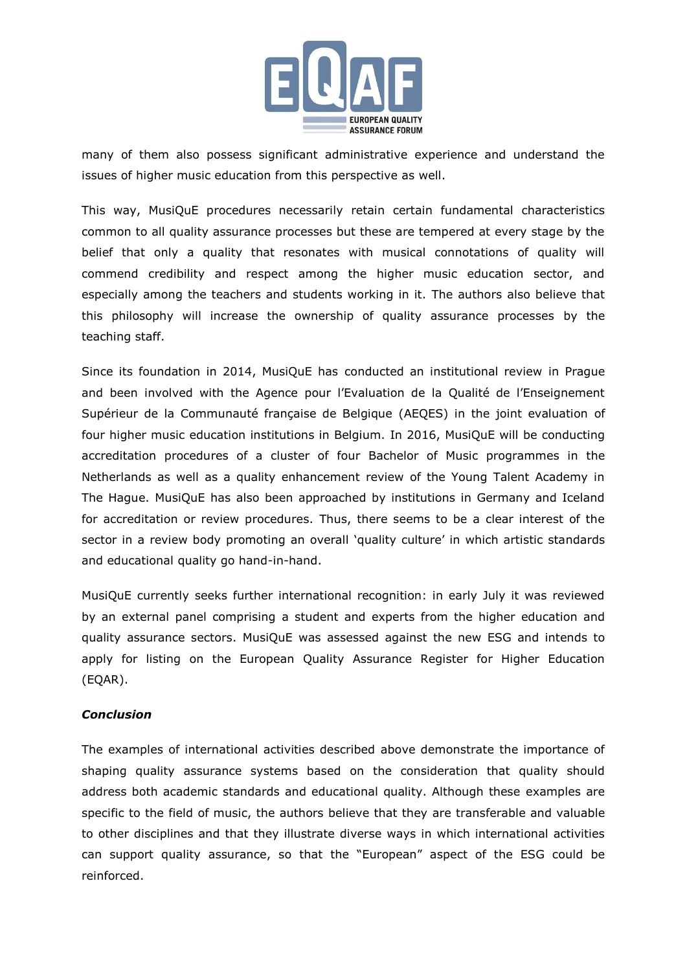

many of them also possess significant administrative experience and understand the issues of higher music education from this perspective as well.

This way, MusiQuE procedures necessarily retain certain fundamental characteristics common to all quality assurance processes but these are tempered at every stage by the belief that only a quality that resonates with musical connotations of quality will commend credibility and respect among the higher music education sector, and especially among the teachers and students working in it. The authors also believe that this philosophy will increase the ownership of quality assurance processes by the teaching staff.

Since its foundation in 2014, MusiQuE has conducted an institutional review in Prague and been involved with the Agence pour l'Evaluation de la Qualité de l'Enseignement Supérieur de la Communauté française de Belgique (AEQES) in the joint evaluation of four higher music education institutions in Belgium. In 2016, MusiQuE will be conducting accreditation procedures of a cluster of four Bachelor of Music programmes in the Netherlands as well as a quality enhancement review of the Young Talent Academy in The Hague. MusiQuE has also been approached by institutions in Germany and Iceland for accreditation or review procedures. Thus, there seems to be a clear interest of the sector in a review body promoting an overall 'quality culture' in which artistic standards and educational quality go hand-in-hand.

MusiQuE currently seeks further international recognition: in early July it was reviewed by an external panel comprising a student and experts from the higher education and quality assurance sectors. MusiQuE was assessed against the new ESG and intends to apply for listing on the European Quality Assurance Register for Higher Education (EQAR).

#### *Conclusion*

The examples of international activities described above demonstrate the importance of shaping quality assurance systems based on the consideration that quality should address both academic standards and educational quality. Although these examples are specific to the field of music, the authors believe that they are transferable and valuable to other disciplines and that they illustrate diverse ways in which international activities can support quality assurance, so that the "European" aspect of the ESG could be reinforced.